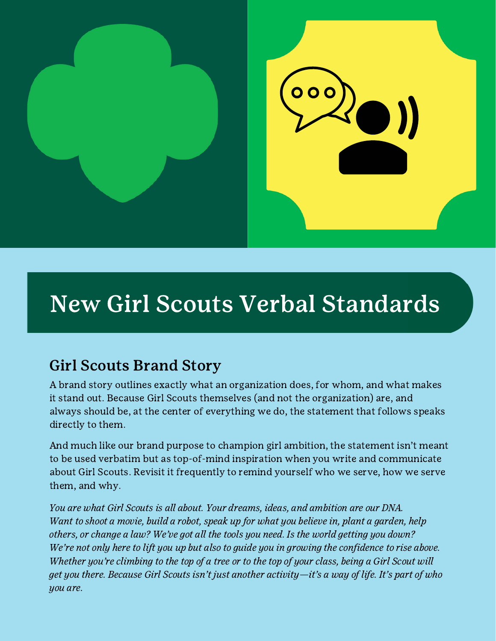

# New Girl Scouts Verbal Standards

# Girl Scouts Brand Story

A brand story outlines exactly what an organization does, for whom, and what makes it stand out. Because Girl Scouts themselves (and not the organization) are, and always should be, at the center of everything we do, the statement that follows speaks directly to them.

And much like our brand purpose to champion girl ambition, the statement isn't meant to be used verbatim but as top-of-mind inspiration when you write and communicate about Girl Scouts. Revisit it frequently to remind yourself who we serve, how we serve them, and why.

You are what Girl Scouts is all about. Your dreams, ideas, and ambition are our DNA. Want to shoot a movie, build a robot, speak up for what you believe in, plant a garden, help others, or change a law? We've got all the tools you need. Is the world getting you down? We're not only here to lift you up but also to quide you in growing the confidence to rise above. Whether you're climbing to the top of a tree or to the top of your class, being a Girl Scout will get you there. Because Girl Scouts isn't just another activity—it's a way of life. It's part of who you are.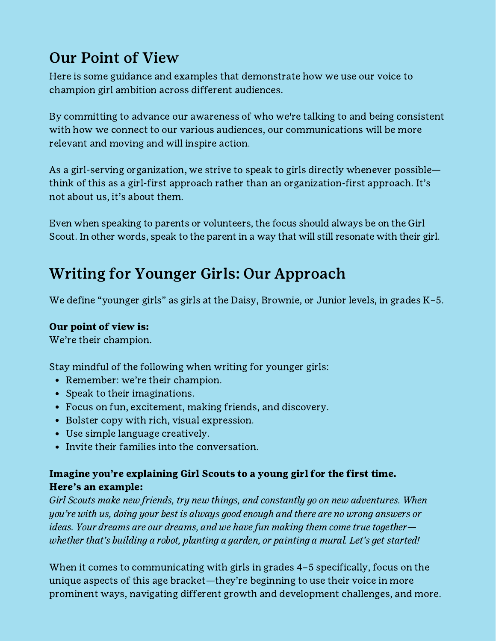# Our Point of View

Here is some guidance and examples that demonstrate how we use our voice to champion girl ambition across different audiences.

By committing to advance our awareness of who we're talking to and being consistent with how we connect to our various audiences, our communications will be more relevant and moving and will inspire action.

As a girl-serving organization, we strive to speak to girls directly whenever possible think of this as a girl-first approach rather than an organization-first approach. It's not about us, it's about them.

Even when speaking to parents or volunteers, the focus should always be on the Girl Scout. In other words, speak to the parent in a way that will still resonate with their girl.

# Writing for Younger Girls: Our Approach

We define "younger girls" as girls at the Daisy, Brownie, or Junior levels, in grades K-5.

### Our point of view is:

We're their champion.

Stay mindful of the following when writing for younger girls:

- Remember: we're their champion.
- Speak to their imaginations.
- Focus on fun, excitement, making friends, and discovery.
- Bolster copy with rich, visual expression.
- Use simple language creatively.
- Invite their families into the conversation.

# Imagine you're explaining Girl Scouts to a young girl for the first time. Here's an example:

Girl Scouts make new friends, try new things, and constantly go on new adventures. When you're with us, doing your best is always good enough and there are no wrong answers or ideas. Your dreams are our dreams, and we have fun making them come true together whether that's building a robot, planting a garden, or painting a mural. Let's get started!

When it comes to communicating with girls in grades 4–5 specifically, focus on the unique aspects of this age bracket—they're beginning to use their voice in more prominent ways, navigating different growth and development challenges, and more.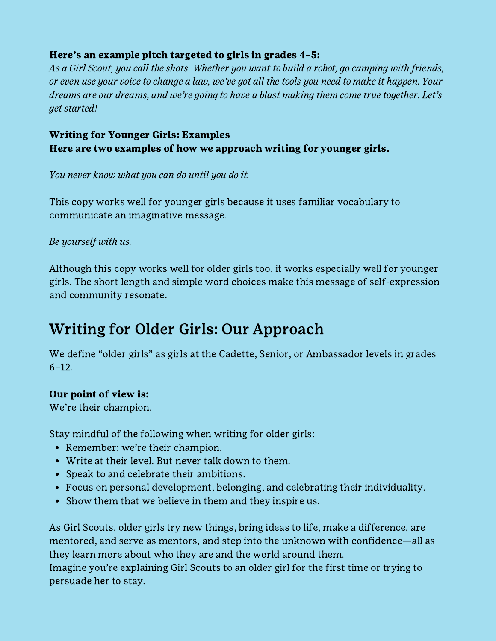# Here's an example pitch targeted to girls in grades 4–5:

As a Girl Scout, you call the shots. Whether you want to build a robot, go camping with friends, or even use your voice to change a law, we've got all the tools you need to make it happen. Your dreams are our dreams, and we're going to have a blast making them come true together. Let's get started!

# Writing for Younger Girls: Examples Here are two examples of how we approach writing for younger girls.

You never know what you can do until you do it.

This copy works well for younger girls because it uses familiar vocabulary to communicate an imaginative message.

### Be yourself with us.

Although this copy works well for older girls too, it works especially well for younger girls. The short length and simple word choices make this message of self-expression and community resonate.

# Writing for Older Girls: Our Approach

We define "older girls" as girls at the Cadette, Senior, or Ambassador levels in grades 6–12.

### Our point of view is:

We're their champion.

Stay mindful of the following when writing for older girls:

- Remember: we're their champion.
- Write at their level. But never talk down to them.
- Speak to and celebrate their ambitions.
- Focus on personal development, belonging, and celebrating their individuality.
- Show them that we believe in them and they inspire us.

As Girl Scouts, older girls try new things, bring ideas to life, make a difference, are mentored, and serve as mentors, and step into the unknown with confidence—all as they learn more about who they are and the world around them.

Imagine you're explaining Girl Scouts to an older girl for the first time or trying to persuade her to stay.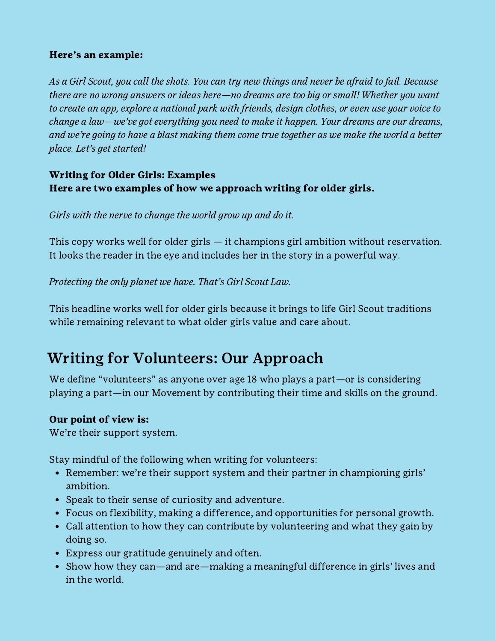### Here's an example:

As a Girl Scout, you call the shots. You can try new things and never be afraid to fail. Because there are no wrong answers or ideas here—no dreams are too big or small! Whether you want to create an app, explore a national park with friends, design clothes, or even use your voice to change a law—we've got everything you need to make it happen. Your dreams are our dreams, and we're going to have a blast making them come true together as we make the world a better place. Let's get started!

# Writing for Older Girls: Examples Here are two examples of how we approach writing for older girls.

# Girls with the nerve to change the world grow up and do it.

This copy works well for older girls — it champions girl ambition without reservation. It looks the reader in the eye and includes her in the story in a powerful way.

# Protecting the only planet we have. That's Girl Scout Law.

This headline works well for older girls because it brings to life Girl Scout traditions while remaining relevant to what older girls value and care about.

# Writing for Volunteers: Our Approach

We define "volunteers" as anyone over age 18 who plays a part—or is considering playing a part—in our Movement by contributing their time and skills on the ground.

### Our point of view is:

We're their support system.

Stay mindful of the following when writing for volunteers:

- Remember: we're their support system and their partner in championing girls' ambition.
- Speak to their sense of curiosity and adventure.
- Focus on flexibility, making a difference, and opportunities for personal growth.
- Call attention to how they can contribute by volunteering and what they gain by doing so.
- Express our gratitude genuinely and often.
- Show how they can—and are—making a meaningful difference in girls' lives and in the world.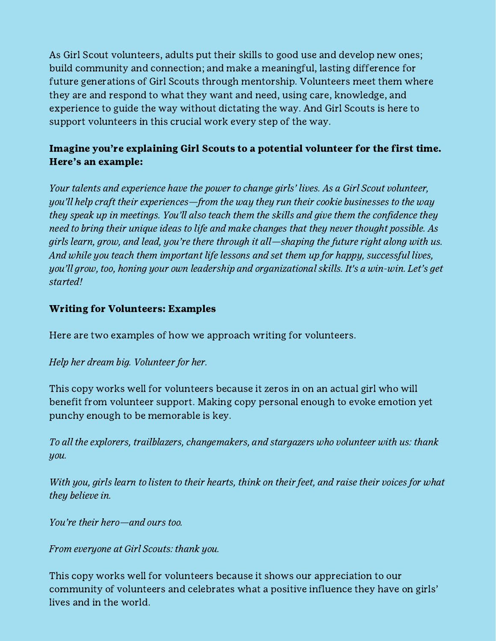As Girl Scout volunteers, adults put their skills to good use and develop new ones; build community and connection; and make a meaningful, lasting difference for future generations of Girl Scouts through mentorship. Volunteers meet them where they are and respond to what they want and need, using care, knowledge, and experience to guide the way without dictating the way. And Girl Scouts is here to support volunteers in this crucial work every step of the way.

# Imagine you're explaining Girl Scouts to a potential volunteer for the first time. Here's an example:

Your talents and experience have the power to change girls' lives. As a Girl Scout volunteer, you'll help craft their experiences—from the way they run their cookie businesses to the way they speak up in meetings. You'll also teach them the skills and give them the confidence they need to bring their unique ideas to life and make changes that they never thought possible. As girls learn, grow, and lead, you're there through it all—shaping the future right along with us. And while you teach them important life lessons and set them up for happy, successful lives, you'll grow, too, honing your own leadership and organizational skills. It's a win-win. Let's get started!

### Writing for Volunteers: Examples

Here are two examples of how we approach writing for volunteers.

### Help her dream big. Volunteer for her.

This copy works well for volunteers because it zeros in on an actual girl who will benefit from volunteer support. Making copy personal enough to evoke emotion yet punchy enough to be memorable is key.

To all the explorers, trailblazers, changemakers, and stargazers who volunteer with us: thank you.

With you, girls learn to listen to their hearts, think on their feet, and raise their voices for what they believe in.

You're their hero—and ours too.

From everyone at Girl Scouts: thank you.

This copy works well for volunteers because it shows our appreciation to our community of volunteers and celebrates what a positive influence they have on girls' lives and in the world.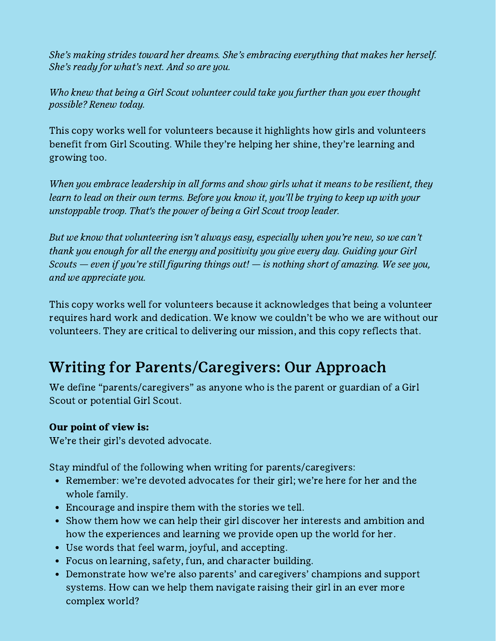She's making strides toward her dreams. She's embracing everything that makes her herself. She's ready for what's next. And so are you.

Who knew that being a Girl Scout volunteer could take you further than you ever thought possible? Renew today.

This copy works well for volunteers because it highlights how girls and volunteers benefit from Girl Scouting. While they're helping her shine, they're learning and growing too.

When you embrace leadership in all forms and show girls what it means to be resilient, they learn to lead on their own terms. Before you know it, you'll be trying to keep up with your unstoppable troop. That's the power of being a Girl Scout troop leader.

But we know that volunteering isn't always easy, especially when you're new, so we can't thank you enough for all the energy and positivity you give every day. Guiding your Girl Scouts  $-$  even if you're still figuring things out!  $-$  is nothing short of amazing. We see you, and we appreciate you.

This copy works well for volunteers because it acknowledges that being a volunteer requires hard work and dedication. We know we couldn't be who we are without our volunteers. They are critical to delivering our mission, and this copy reflects that.

# Writing for Parents/Caregivers: Our Approach

We define "parents/caregivers" as anyone who is the parent or guardian of a Girl Scout or potential Girl Scout.

# Our point of view is:

We're their girl's devoted advocate.

Stay mindful of the following when writing for parents/caregivers:

- Remember: we're devoted advocates for their girl; we're here for her and the whole family.
- Encourage and inspire them with the stories we tell.
- Show them how we can help their girl discover her interests and ambition and how the experiences and learning we provide open up the world for her.
- Use words that feel warm, joyful, and accepting.
- Focus on learning, safety, fun, and character building.
- Demonstrate how we're also parents' and caregivers' champions and support systems. How can we help them navigate raising their girl in an ever more complex world?